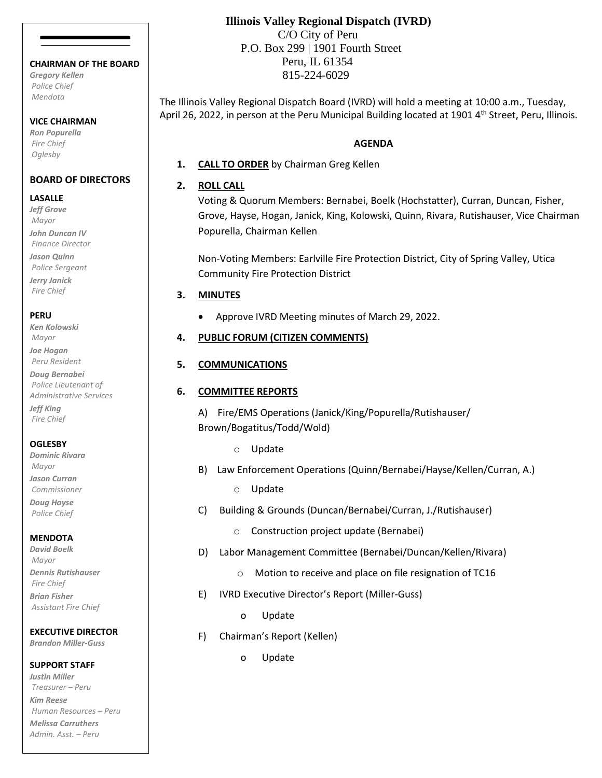#### **CHAIRMAN OF THE BOARD**

*Gregory Kellen Police Chief Mendota*

#### **VICE CHAIRMAN**

*Ron Popurella Fire Chief Oglesby*

### **BOARD OF DIRECTORS**

#### **LASALLE**

*Jeff Grove Mayor John Duncan IV Finance Director Jason Quinn Police Sergeant*

*Jerry Janick Fire Chief*

### **PERU**

*Ken Kolowski Mayor Joe Hogan*

*Peru Resident Doug Bernabei*

*Police Lieutenant of Administrative Services Jeff King*

*Fire Chief*

### **OGLESBY**

*Dominic Rivara Mayor Jason Curran Commissioner Doug Hayse*

*Police Chief*

## **MENDOTA**

*David Boelk Mayor Dennis Rutishauser Fire Chief Brian Fisher Assistant Fire Chief*

# **EXECUTIVE DIRECTOR**

*Brandon Miller-Guss*

**SUPPORT STAFF**

*Justin Miller Treasurer – Peru Kim Reese Human Resources – Peru Melissa Carruthers Admin. Asst. – Peru*

# **Illinois Valley Regional Dispatch (IVRD)**

 C/O City of Peru P.O. Box 299 | 1901 Fourth Street Peru, IL 61354 815-224-6029

The Illinois Valley Regional Dispatch Board (IVRD) will hold a meeting at 10:00 a.m., Tuesday, April 26, 2022, in person at the Peru Municipal Building located at 1901 4<sup>th</sup> Street, Peru, Illinois.

### **AGENDA**

**1. CALL TO ORDER** by Chairman Greg Kellen

### **2. ROLL CALL**

Voting & Quorum Members: Bernabei, Boelk (Hochstatter), Curran, Duncan, Fisher, Grove, Hayse, Hogan, Janick, King, Kolowski, Quinn, Rivara, Rutishauser, Vice Chairman Popurella, Chairman Kellen

Non-Voting Members: Earlville Fire Protection District, City of Spring Valley, Utica Community Fire Protection District

## **3. MINUTES**

• Approve IVRD Meeting minutes of March 29, 2022.

## **4. PUBLIC FORUM (CITIZEN COMMENTS)**

## **5. COMMUNICATIONS**

### **6. COMMITTEE REPORTS**

A) Fire/EMS Operations (Janick/King/Popurella/Rutishauser/ Brown/Bogatitus/Todd/Wold)

- o Update
- B) Law Enforcement Operations (Quinn/Bernabei/Hayse/Kellen/Curran, A.)
	- o Update
- C) Building & Grounds (Duncan/Bernabei/Curran, J./Rutishauser)
	- o Construction project update (Bernabei)
- D) Labor Management Committee (Bernabei/Duncan/Kellen/Rivara)
	- o Motion to receive and place on file resignation of TC16
- E) IVRD Executive Director's Report (Miller-Guss)
	- o Update
- F) Chairman's Report (Kellen)
	- o Update